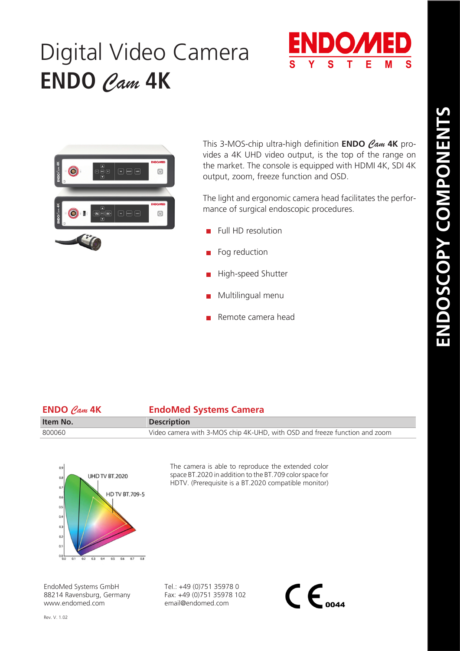## Digital Video Camera **ENDO** *Cam* **4K**





This 3-MOS-chip ultra-high definition **ENDO** *Cam* **4K** provides a 4K UHD video output, is the top of the range on the market. The console is equipped with HDMI 4K, SDI 4K output, zoom, freeze function and OSD.

The light and ergonomic camera head facilitates the performance of surgical endoscopic procedures.

- Full HD resolution
- Fog reduction
- High-speed Shutter
- Multilingual menu
- Remote camera head

| $ENDO$ $Can$ $4K$ | <b>EndoMed Systems Camera</b>                                              |
|-------------------|----------------------------------------------------------------------------|
| Item No.          | <b>Description</b>                                                         |
| 800060            | Video camera with 3-MOS chip 4K-UHD, with OSD and freeze function and zoom |



The camera is able to reproduce the extended color space BT.2020 in addition to the BT.709 color space for HDTV. (Prerequisite is a BT.2020 compatible monitor)

EndoMed Systems GmbH 88214 Ravensburg, Germany www.endomed.com

Tel.: +49 (0)751 35978 0 Fax: +49 (0)751 35978 102 email@endomed.com

 $\mathsf{CE}_{\scriptscriptstyle o$ 044